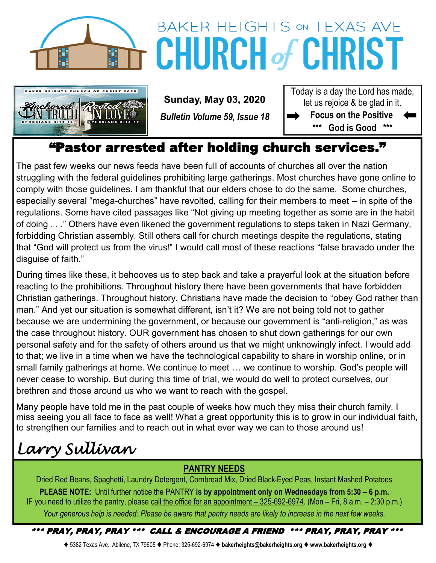

# BAKER HEIGHTS ON TEXAS AVE **CHURCH of CHRIST**



 **Sunday, May 03, 2020** *Bulletin Volume 59, Issue 18* Today is a day the Lord has made, let us rejoice & be glad in it. **Focus on the Positive** 

**\*\*\* God is Good \*\*\***

# "Pastor arrested after holding church services."

The past few weeks our news feeds have been full of accounts of churches all over the nation struggling with the federal guidelines prohibiting large gatherings. Most churches have gone online to comply with those guidelines. I am thankful that our elders chose to do the same. Some churches, especially several "mega-churches" have revolted, calling for their members to meet – in spite of the regulations. Some have cited passages like "Not giving up meeting together as some are in the habit of doing . . ." Others have even likened the government regulations to steps taken in Nazi Germany, forbidding Christian assembly. Still others call for church meetings despite the regulations, stating that "God will protect us from the virus!" I would call most of these reactions "false bravado under the disguise of faith."

During times like these, it behooves us to step back and take a prayerful look at the situation before reacting to the prohibitions. Throughout history there have been governments that have forbidden Christian gatherings. Throughout history, Christians have made the decision to "obey God rather than man." And yet our situation is somewhat different, isn't it? We are not being told not to gather because we are undermining the government, or because our government is "anti-religion," as was the case throughout history. OUR government has chosen to shut down gatherings for our own personal safety and for the safety of others around us that we might unknowingly infect. I would add to that; we live in a time when we have the technological capability to share in worship online, or in small family gatherings at home. We continue to meet … we continue to worship. God's people will never cease to worship. But during this time of trial, we would do well to protect ourselves, our brethren and those around us who we want to reach with the gospel.

Many people have told me in the past couple of weeks how much they miss their church family. I miss seeing you all face to face as well! What a great opportunity this is to grow in our individual faith, to strengthen our families and to reach out in what ever way we can to those around us!

# *Larry Sullivan*

## **PANTRY NEEDS**

Dried Red Beans, Spaghetti, Laundry Detergent, Cornbread Mix, Dried Black-Eyed Peas, Instant Mashed Potatoes **PLEASE NOTE:** Until further notice the PANTRY **is by appointment only on Wednesdays from 5:30 – 6 p.m.**  IF you need to utilize the pantry, please call the office for an appointment – 325-692-6974. (Mon – Fri, 8 a.m. – 2:30 p.m.) *Your generous help is needed: Please be aware that pantry needs are likely to increase in the next few weeks.*

## \*\*\* PRAY, PRAY, PRAY \*\*\* CALL & ENCOURAGE A FRIEND \*\*\* PRAY, PRAY, PRAY \*\*\*

⧫ 5382 Texas Ave., Abilene, TX 79605 ⧫ Phone: 325-692-6974 ⧫ **bakerheights@bakerheights.org** ⧫ **www.bakerheights.org** ⧫